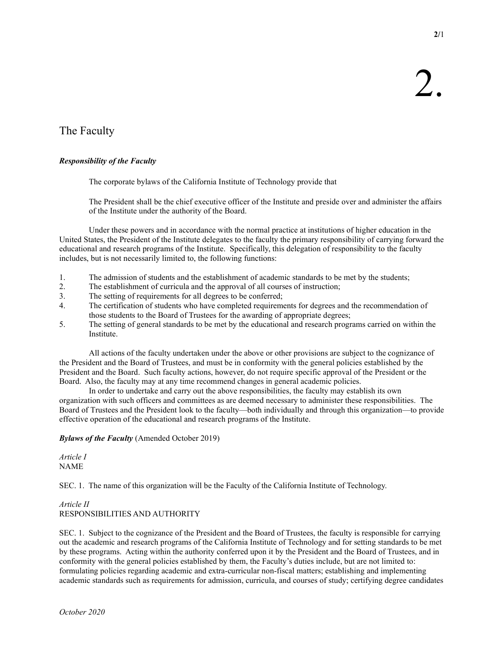2/1

# The Faculty

# Responsibility of the Faculty

The corporate bylaws of the California Institute of Technology provide that

The President shall be the chief executive officer of the Institute and preside over and administer the affairs of the Institute under the authority of the Board.

 Under these powers and in accordance with the normal practice at institutions of higher education in the United States, the President of the Institute delegates to the faculty the primary responsibility of carrying forward the educational and research programs of the Institute. Specifically, this delegation of responsibility to the faculty includes, but is not necessarily limited to, the following functions:

- 1. The admission of students and the establishment of academic standards to be met by the students;
- 2. The establishment of curricula and the approval of all courses of instruction;
- 3. The setting of requirements for all degrees to be conferred;
- 4. The certification of students who have completed requirements for degrees and the recommendation of those students to the Board of Trustees for the awarding of appropriate degrees;
- 5. The setting of general standards to be met by the educational and research programs carried on within the Institute.

 All actions of the faculty undertaken under the above or other provisions are subject to the cognizance of the President and the Board of Trustees, and must be in conformity with the general policies established by the President and the Board. Such faculty actions, however, do not require specific approval of the President or the Board. Also, the faculty may at any time recommend changes in general academic policies.

 In order to undertake and carry out the above responsibilities, the faculty may establish its own organization with such officers and committees as are deemed necessary to administer these responsibilities. The Board of Trustees and the President look to the faculty—both individually and through this organization—to provide effective operation of the educational and research programs of the Institute.

## Bylaws of the Faculty (Amended October 2019)

Article I NAME

SEC. 1. The name of this organization will be the Faculty of the California Institute of Technology.

# Article II RESPONSIBILITIES AND AUTHORITY

SEC. 1. Subject to the cognizance of the President and the Board of Trustees, the faculty is responsible for carrying out the academic and research programs of the California Institute of Technology and for setting standards to be met by these programs. Acting within the authority conferred upon it by the President and the Board of Trustees, and in conformity with the general policies established by them, the Faculty's duties include, but are not limited to: formulating policies regarding academic and extra-curricular non-fiscal matters; establishing and implementing academic standards such as requirements for admission, curricula, and courses of study; certifying degree candidates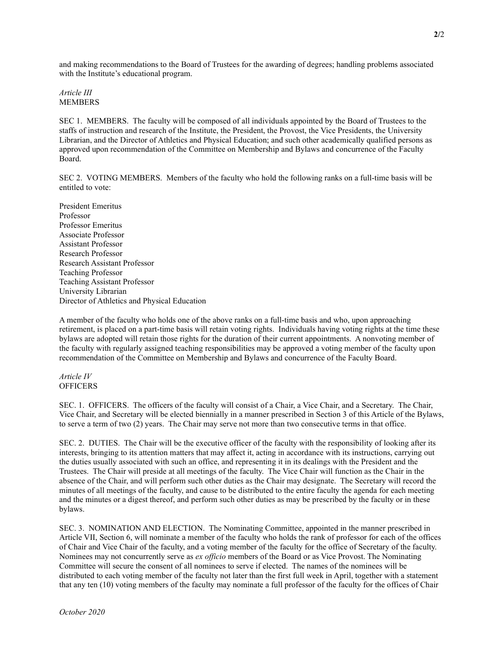and making recommendations to the Board of Trustees for the awarding of degrees; handling problems associated with the Institute's educational program.

#### Article III MEMBERS

SEC 1. MEMBERS. The faculty will be composed of all individuals appointed by the Board of Trustees to the staffs of instruction and research of the Institute, the President, the Provost, the Vice Presidents, the University Librarian, and the Director of Athletics and Physical Education; and such other academically qualified persons as approved upon recommendation of the Committee on Membership and Bylaws and concurrence of the Faculty Board.

SEC 2. VOTING MEMBERS. Members of the faculty who hold the following ranks on a full-time basis will be entitled to vote:

President Emeritus Professor Professor Emeritus Associate Professor Assistant Professor Research Professor Research Assistant Professor Teaching Professor Teaching Assistant Professor University Librarian Director of Athletics and Physical Education

A member of the faculty who holds one of the above ranks on a full-time basis and who, upon approaching retirement, is placed on a part-time basis will retain voting rights. Individuals having voting rights at the time these bylaws are adopted will retain those rights for the duration of their current appointments. A nonvoting member of the faculty with regularly assigned teaching responsibilities may be approved a voting member of the faculty upon recommendation of the Committee on Membership and Bylaws and concurrence of the Faculty Board.

#### Article IV **OFFICERS**

October 2020

SEC. 1. OFFICERS. The officers of the faculty will consist of a Chair, a Vice Chair, and a Secretary. The Chair, Vice Chair, and Secretary will be elected biennially in a manner prescribed in Section 3 of this Article of the Bylaws, to serve a term of two (2) years. The Chair may serve not more than two consecutive terms in that office.

SEC. 2. DUTIES. The Chair will be the executive officer of the faculty with the responsibility of looking after its interests, bringing to its attention matters that may affect it, acting in accordance with its instructions, carrying out the duties usually associated with such an office, and representing it in its dealings with the President and the Trustees. The Chair will preside at all meetings of the faculty. The Vice Chair will function as the Chair in the absence of the Chair, and will perform such other duties as the Chair may designate. The Secretary will record the minutes of all meetings of the faculty, and cause to be distributed to the entire faculty the agenda for each meeting and the minutes or a digest thereof, and perform such other duties as may be prescribed by the faculty or in these bylaws.

SEC. 3. NOMINATION AND ELECTION. The Nominating Committee, appointed in the manner prescribed in Article VII, Section 6, will nominate a member of the faculty who holds the rank of professor for each of the offices of Chair and Vice Chair of the faculty, and a voting member of the faculty for the office of Secretary of the faculty. Nominees may not concurrently serve as ex officio members of the Board or as Vice Provost. The Nominating Committee will secure the consent of all nominees to serve if elected. The names of the nominees will be distributed to each voting member of the faculty not later than the first full week in April, together with a statement that any ten (10) voting members of the faculty may nominate a full professor of the faculty for the offices of Chair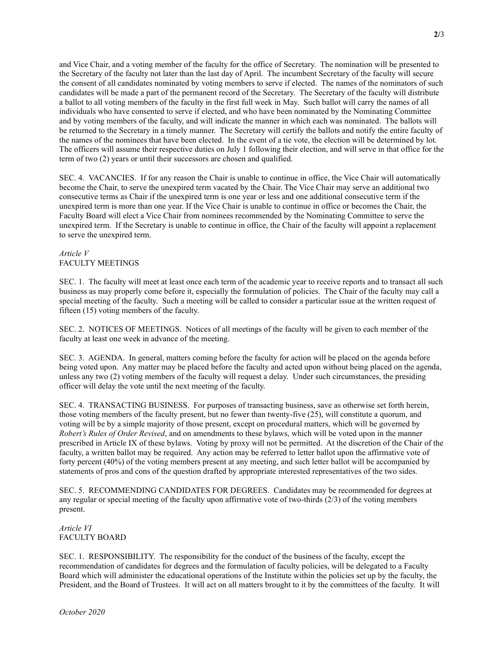and Vice Chair, and a voting member of the faculty for the office of Secretary. The nomination will be presented to the Secretary of the faculty not later than the last day of April. The incumbent Secretary of the faculty will secure the consent of all candidates nominated by voting members to serve if elected. The names of the nominators of such candidates will be made a part of the permanent record of the Secretary. The Secretary of the faculty will distribute a ballot to all voting members of the faculty in the first full week in May. Such ballot will carry the names of all individuals who have consented to serve if elected, and who have been nominated by the Nominating Committee and by voting members of the faculty, and will indicate the manner in which each was nominated. The ballots will be returned to the Secretary in a timely manner. The Secretary will certify the ballots and notify the entire faculty of the names of the nominees that have been elected. In the event of a tie vote, the election will be determined by lot. The officers will assume their respective duties on July 1 following their election, and will serve in that office for the term of two (2) years or until their successors are chosen and qualified.

SEC. 4. VACANCIES. If for any reason the Chair is unable to continue in office, the Vice Chair will automatically become the Chair, to serve the unexpired term vacated by the Chair. The Vice Chair may serve an additional two consecutive terms as Chair if the unexpired term is one year or less and one additional consecutive term if the unexpired term is more than one year. If the Vice Chair is unable to continue in office or becomes the Chair, the Faculty Board will elect a Vice Chair from nominees recommended by the Nominating Committee to serve the unexpired term. If the Secretary is unable to continue in office, the Chair of the faculty will appoint a replacement to serve the unexpired term.

#### Article V FACULTY MEETINGS

SEC. 1. The faculty will meet at least once each term of the academic year to receive reports and to transact all such business as may properly come before it, especially the formulation of policies. The Chair of the faculty may call a special meeting of the faculty. Such a meeting will be called to consider a particular issue at the written request of fifteen (15) voting members of the faculty.

SEC. 2. NOTICES OF MEETINGS. Notices of all meetings of the faculty will be given to each member of the faculty at least one week in advance of the meeting.

SEC. 3. AGENDA. In general, matters coming before the faculty for action will be placed on the agenda before being voted upon. Any matter may be placed before the faculty and acted upon without being placed on the agenda, unless any two (2) voting members of the faculty will request a delay. Under such circumstances, the presiding officer will delay the vote until the next meeting of the faculty.

SEC. 4. TRANSACTING BUSINESS. For purposes of transacting business, save as otherwise set forth herein, those voting members of the faculty present, but no fewer than twenty-five (25), will constitute a quorum, and voting will be by a simple majority of those present, except on procedural matters, which will be governed by Robert's Rules of Order Revised, and on amendments to these bylaws, which will be voted upon in the manner prescribed in Article IX of these bylaws. Voting by proxy will not be permitted. At the discretion of the Chair of the faculty, a written ballot may be required. Any action may be referred to letter ballot upon the affirmative vote of forty percent (40%) of the voting members present at any meeting, and such letter ballot will be accompanied by statements of pros and cons of the question drafted by appropriate interested representatives of the two sides.

SEC. 5. RECOMMENDING CANDIDATES FOR DEGREES. Candidates may be recommended for degrees at any regular or special meeting of the faculty upon affirmative vote of two-thirds (2/3) of the voting members present.

Article VI FACULTY BOARD

SEC. 1. RESPONSIBILITY. The responsibility for the conduct of the business of the faculty, except the recommendation of candidates for degrees and the formulation of faculty policies, will be delegated to a Faculty Board which will administer the educational operations of the Institute within the policies set up by the faculty, the President, and the Board of Trustees. It will act on all matters brought to it by the committees of the faculty. It will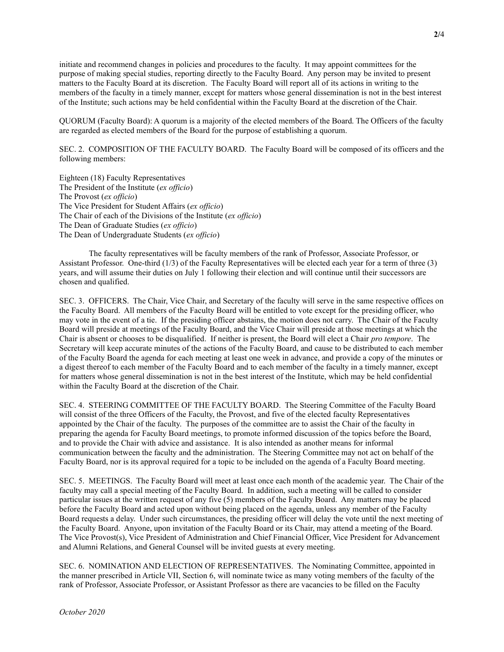initiate and recommend changes in policies and procedures to the faculty. It may appoint committees for the purpose of making special studies, reporting directly to the Faculty Board. Any person may be invited to present matters to the Faculty Board at its discretion. The Faculty Board will report all of its actions in writing to the members of the faculty in a timely manner, except for matters whose general dissemination is not in the best interest of the Institute; such actions may be held confidential within the Faculty Board at the discretion of the Chair.

QUORUM (Faculty Board): A quorum is a majority of the elected members of the Board. The Officers of the faculty are regarded as elected members of the Board for the purpose of establishing a quorum.

SEC. 2. COMPOSITION OF THE FACULTY BOARD. The Faculty Board will be composed of its officers and the following members:

Eighteen (18) Faculty Representatives The President of the Institute (ex officio) The Provost (ex officio) The Vice President for Student Affairs (ex officio) The Chair of each of the Divisions of the Institute (ex officio) The Dean of Graduate Studies (ex officio) The Dean of Undergraduate Students (ex officio)

 The faculty representatives will be faculty members of the rank of Professor, Associate Professor, or Assistant Professor. One-third (1/3) of the Faculty Representatives will be elected each year for a term of three (3) years, and will assume their duties on July 1 following their election and will continue until their successors are chosen and qualified.

SEC. 3. OFFICERS. The Chair, Vice Chair, and Secretary of the faculty will serve in the same respective offices on the Faculty Board. All members of the Faculty Board will be entitled to vote except for the presiding officer, who may vote in the event of a tie. If the presiding officer abstains, the motion does not carry. The Chair of the Faculty Board will preside at meetings of the Faculty Board, and the Vice Chair will preside at those meetings at which the Chair is absent or chooses to be disqualified. If neither is present, the Board will elect a Chair pro tempore. The Secretary will keep accurate minutes of the actions of the Faculty Board, and cause to be distributed to each member of the Faculty Board the agenda for each meeting at least one week in advance, and provide a copy of the minutes or a digest thereof to each member of the Faculty Board and to each member of the faculty in a timely manner, except for matters whose general dissemination is not in the best interest of the Institute, which may be held confidential within the Faculty Board at the discretion of the Chair.

SEC. 4. STEERING COMMITTEE OF THE FACULTY BOARD. The Steering Committee of the Faculty Board will consist of the three Officers of the Faculty, the Provost, and five of the elected faculty Representatives appointed by the Chair of the faculty. The purposes of the committee are to assist the Chair of the faculty in preparing the agenda for Faculty Board meetings, to promote informed discussion of the topics before the Board, and to provide the Chair with advice and assistance. It is also intended as another means for informal communication between the faculty and the administration. The Steering Committee may not act on behalf of the Faculty Board, nor is its approval required for a topic to be included on the agenda of a Faculty Board meeting.

SEC. 5. MEETINGS. The Faculty Board will meet at least once each month of the academic year. The Chair of the faculty may call a special meeting of the Faculty Board. In addition, such a meeting will be called to consider particular issues at the written request of any five (5) members of the Faculty Board. Any matters may be placed before the Faculty Board and acted upon without being placed on the agenda, unless any member of the Faculty Board requests a delay. Under such circumstances, the presiding officer will delay the vote until the next meeting of the Faculty Board. Anyone, upon invitation of the Faculty Board or its Chair, may attend a meeting of the Board. The Vice Provost(s), Vice President of Administration and Chief Financial Officer, Vice President for Advancement and Alumni Relations, and General Counsel will be invited guests at every meeting.

SEC. 6. NOMINATION AND ELECTION OF REPRESENTATIVES. The Nominating Committee, appointed in the manner prescribed in Article VII, Section 6, will nominate twice as many voting members of the faculty of the rank of Professor, Associate Professor, or Assistant Professor as there are vacancies to be filled on the Faculty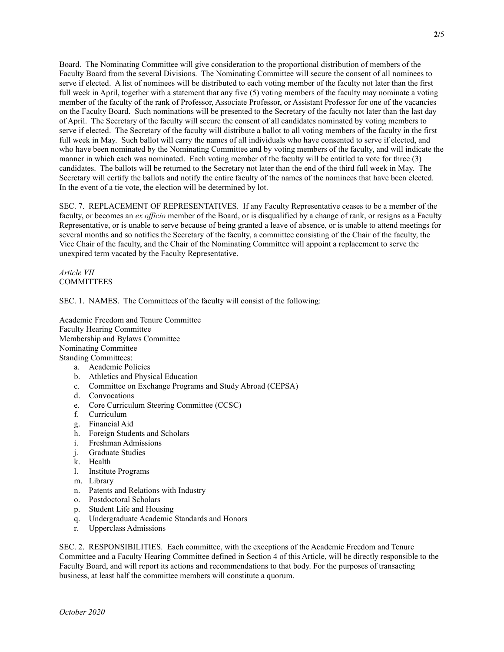Board. The Nominating Committee will give consideration to the proportional distribution of members of the Faculty Board from the several Divisions. The Nominating Committee will secure the consent of all nominees to serve if elected. A list of nominees will be distributed to each voting member of the faculty not later than the first full week in April, together with a statement that any five (5) voting members of the faculty may nominate a voting member of the faculty of the rank of Professor, Associate Professor, or Assistant Professor for one of the vacancies on the Faculty Board. Such nominations will be presented to the Secretary of the faculty not later than the last day of April. The Secretary of the faculty will secure the consent of all candidates nominated by voting members to serve if elected. The Secretary of the faculty will distribute a ballot to all voting members of the faculty in the first full week in May. Such ballot will carry the names of all individuals who have consented to serve if elected, and who have been nominated by the Nominating Committee and by voting members of the faculty, and will indicate the manner in which each was nominated. Each voting member of the faculty will be entitled to vote for three (3) candidates. The ballots will be returned to the Secretary not later than the end of the third full week in May. The Secretary will certify the ballots and notify the entire faculty of the names of the nominees that have been elected. In the event of a tie vote, the election will be determined by lot.

SEC. 7. REPLACEMENT OF REPRESENTATIVES. If any Faculty Representative ceases to be a member of the faculty, or becomes an ex officio member of the Board, or is disqualified by a change of rank, or resigns as a Faculty Representative, or is unable to serve because of being granted a leave of absence, or is unable to attend meetings for several months and so notifies the Secretary of the faculty, a committee consisting of the Chair of the faculty, the Vice Chair of the faculty, and the Chair of the Nominating Committee will appoint a replacement to serve the unexpired term vacated by the Faculty Representative.

Article VII **COMMITTEES** 

SEC. 1. NAMES. The Committees of the faculty will consist of the following:

Academic Freedom and Tenure Committee Faculty Hearing Committee Membership and Bylaws Committee Nominating Committee Standing Committees: a. Academic Policies

- b. Athletics and Physical Education
- c. Committee on Exchange Programs and Study Abroad (CEPSA)
- d. Convocations
- e. Core Curriculum Steering Committee (CCSC)
- f. Curriculum
- g. Financial Aid
- h. Foreign Students and Scholars
- i. Freshman Admissions
- j. Graduate Studies
- k. Health
- l. Institute Programs
- m. Library
- n. Patents and Relations with Industry
- o. Postdoctoral Scholars
- p. Student Life and Housing
- q. Undergraduate Academic Standards and Honors
- r. Upperclass Admissions

SEC. 2. RESPONSIBILITIES. Each committee, with the exceptions of the Academic Freedom and Tenure Committee and a Faculty Hearing Committee defined in Section 4 of this Article, will be directly responsible to the Faculty Board, and will report its actions and recommendations to that body. For the purposes of transacting business, at least half the committee members will constitute a quorum.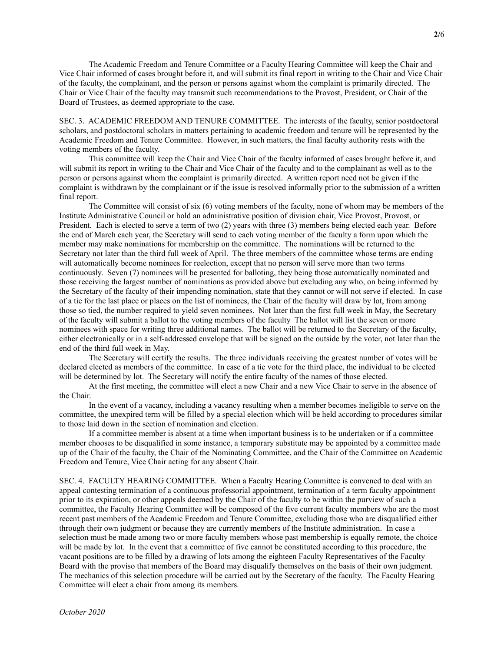The Academic Freedom and Tenure Committee or a Faculty Hearing Committee will keep the Chair and Vice Chair informed of cases brought before it, and will submit its final report in writing to the Chair and Vice Chair of the faculty, the complainant, and the person or persons against whom the complaint is primarily directed. The Chair or Vice Chair of the faculty may transmit such recommendations to the Provost, President, or Chair of the Board of Trustees, as deemed appropriate to the case.

SEC. 3. ACADEMIC FREEDOM AND TENURE COMMITTEE. The interests of the faculty, senior postdoctoral scholars, and postdoctoral scholars in matters pertaining to academic freedom and tenure will be represented by the Academic Freedom and Tenure Committee. However, in such matters, the final faculty authority rests with the voting members of the faculty.

 This committee will keep the Chair and Vice Chair of the faculty informed of cases brought before it, and will submit its report in writing to the Chair and Vice Chair of the faculty and to the complainant as well as to the person or persons against whom the complaint is primarily directed. A written report need not be given if the complaint is withdrawn by the complainant or if the issue is resolved informally prior to the submission of a written final report.

 The Committee will consist of six (6) voting members of the faculty, none of whom may be members of the Institute Administrative Council or hold an administrative position of division chair, Vice Provost, Provost, or President. Each is elected to serve a term of two (2) years with three (3) members being elected each year. Before the end of March each year, the Secretary will send to each voting member of the faculty a form upon which the member may make nominations for membership on the committee. The nominations will be returned to the Secretary not later than the third full week of April. The three members of the committee whose terms are ending will automatically become nominees for reelection, except that no person will serve more than two terms continuously. Seven (7) nominees will be presented for balloting, they being those automatically nominated and those receiving the largest number of nominations as provided above but excluding any who, on being informed by the Secretary of the faculty of their impending nomination, state that they cannot or will not serve if elected. In case of a tie for the last place or places on the list of nominees, the Chair of the faculty will draw by lot, from among those so tied, the number required to yield seven nominees. Not later than the first full week in May, the Secretary of the faculty will submit a ballot to the voting members of the faculty The ballot will list the seven or more nominees with space for writing three additional names. The ballot will be returned to the Secretary of the faculty, either electronically or in a self-addressed envelope that will be signed on the outside by the voter, not later than the end of the third full week in May.

 The Secretary will certify the results. The three individuals receiving the greatest number of votes will be declared elected as members of the committee. In case of a tie vote for the third place, the individual to be elected will be determined by lot. The Secretary will notify the entire faculty of the names of those elected.

 At the first meeting, the committee will elect a new Chair and a new Vice Chair to serve in the absence of the Chair.

 In the event of a vacancy, including a vacancy resulting when a member becomes ineligible to serve on the committee, the unexpired term will be filled by a special election which will be held according to procedures similar to those laid down in the section of nomination and election.

 If a committee member is absent at a time when important business is to be undertaken or if a committee member chooses to be disqualified in some instance, a temporary substitute may be appointed by a committee made up of the Chair of the faculty, the Chair of the Nominating Committee, and the Chair of the Committee on Academic Freedom and Tenure, Vice Chair acting for any absent Chair.

SEC. 4. FACULTY HEARING COMMITTEE. When a Faculty Hearing Committee is convened to deal with an appeal contesting termination of a continuous professorial appointment, termination of a term faculty appointment prior to its expiration, or other appeals deemed by the Chair of the faculty to be within the purview of such a committee, the Faculty Hearing Committee will be composed of the five current faculty members who are the most recent past members of the Academic Freedom and Tenure Committee, excluding those who are disqualified either through their own judgment or because they are currently members of the Institute administration. In case a selection must be made among two or more faculty members whose past membership is equally remote, the choice will be made by lot. In the event that a committee of five cannot be constituted according to this procedure, the vacant positions are to be filled by a drawing of lots among the eighteen Faculty Representatives of the Faculty Board with the proviso that members of the Board may disqualify themselves on the basis of their own judgment. The mechanics of this selection procedure will be carried out by the Secretary of the faculty. The Faculty Hearing Committee will elect a chair from among its members.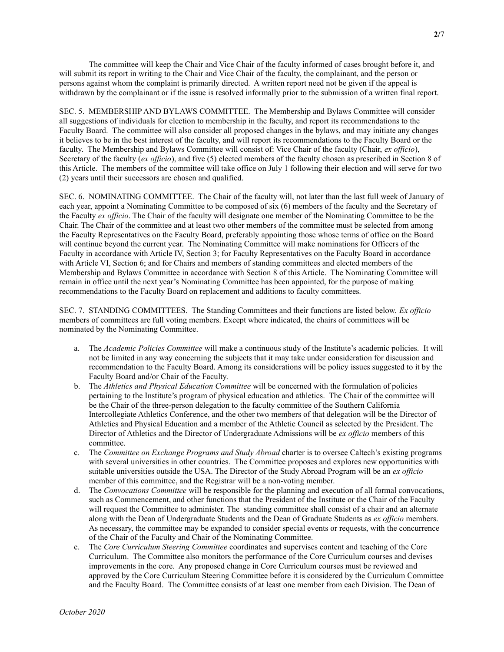The committee will keep the Chair and Vice Chair of the faculty informed of cases brought before it, and will submit its report in writing to the Chair and Vice Chair of the faculty, the complainant, and the person or persons against whom the complaint is primarily directed. A written report need not be given if the appeal is withdrawn by the complainant or if the issue is resolved informally prior to the submission of a written final report.

SEC. 5. MEMBERSHIP AND BYLAWS COMMITTEE. The Membership and Bylaws Committee will consider all suggestions of individuals for election to membership in the faculty, and report its recommendations to the Faculty Board. The committee will also consider all proposed changes in the bylaws, and may initiate any changes it believes to be in the best interest of the faculty, and will report its recommendations to the Faculty Board or the faculty. The Membership and Bylaws Committee will consist of: Vice Chair of the faculty (Chair, ex officio), Secretary of the faculty (ex officio), and five (5) elected members of the faculty chosen as prescribed in Section 8 of this Article. The members of the committee will take office on July 1 following their election and will serve for two (2) years until their successors are chosen and qualified.

SEC. 6. NOMINATING COMMITTEE. The Chair of the faculty will, not later than the last full week of January of each year, appoint a Nominating Committee to be composed of six (6) members of the faculty and the Secretary of the Faculty ex officio. The Chair of the faculty will designate one member of the Nominating Committee to be the Chair. The Chair of the committee and at least two other members of the committee must be selected from among the Faculty Representatives on the Faculty Board, preferably appointing those whose terms of office on the Board will continue beyond the current year. The Nominating Committee will make nominations for Officers of the Faculty in accordance with Article IV, Section 3; for Faculty Representatives on the Faculty Board in accordance with Article VI, Section 6; and for Chairs and members of standing committees and elected members of the Membership and Bylaws Committee in accordance with Section 8 of this Article. The Nominating Committee will remain in office until the next year's Nominating Committee has been appointed, for the purpose of making recommendations to the Faculty Board on replacement and additions to faculty committees.

SEC. 7. STANDING COMMITTEES. The Standing Committees and their functions are listed below. Ex officio members of committees are full voting members. Except where indicated, the chairs of committees will be nominated by the Nominating Committee.

- a. The Academic Policies Committee will make a continuous study of the Institute's academic policies. It will not be limited in any way concerning the subjects that it may take under consideration for discussion and recommendation to the Faculty Board. Among its considerations will be policy issues suggested to it by the Faculty Board and/or Chair of the Faculty.
- b. The Athletics and Physical Education Committee will be concerned with the formulation of policies pertaining to the Institute's program of physical education and athletics. The Chair of the committee will be the Chair of the three-person delegation to the faculty committee of the Southern California Intercollegiate Athletics Conference, and the other two members of that delegation will be the Director of Athletics and Physical Education and a member of the Athletic Council as selected by the President. The Director of Athletics and the Director of Undergraduate Admissions will be ex officio members of this committee.
- c. The Committee on Exchange Programs and Study Abroad charter is to oversee Caltech's existing programs with several universities in other countries. The Committee proposes and explores new opportunities with suitable universities outside the USA. The Director of the Study Abroad Program will be an ex officio member of this committee, and the Registrar will be a non-voting member.
- d. The Convocations Committee will be responsible for the planning and execution of all formal convocations, such as Commencement, and other functions that the President of the Institute or the Chair of the Faculty will request the Committee to administer. The standing committee shall consist of a chair and an alternate along with the Dean of Undergraduate Students and the Dean of Graduate Students as ex officio members. As necessary, the committee may be expanded to consider special events or requests, with the concurrence of the Chair of the Faculty and Chair of the Nominating Committee.
- e. The Core Curriculum Steering Committee coordinates and supervises content and teaching of the Core Curriculum. The Committee also monitors the performance of the Core Curriculum courses and devises improvements in the core. Any proposed change in Core Curriculum courses must be reviewed and approved by the Core Curriculum Steering Committee before it is considered by the Curriculum Committee and the Faculty Board. The Committee consists of at least one member from each Division. The Dean of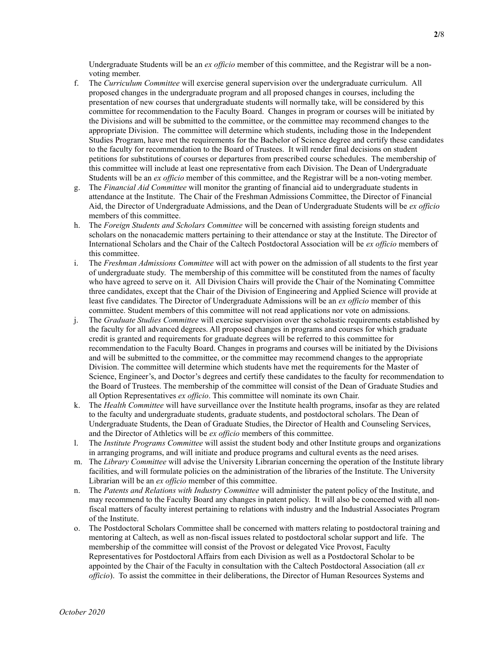Undergraduate Students will be an ex officio member of this committee, and the Registrar will be a nonvoting member.

- f. The Curriculum Committee will exercise general supervision over the undergraduate curriculum. All proposed changes in the undergraduate program and all proposed changes in courses, including the presentation of new courses that undergraduate students will normally take, will be considered by this committee for recommendation to the Faculty Board. Changes in program or courses will be initiated by the Divisions and will be submitted to the committee, or the committee may recommend changes to the appropriate Division. The committee will determine which students, including those in the Independent Studies Program, have met the requirements for the Bachelor of Science degree and certify these candidates to the faculty for recommendation to the Board of Trustees. It will render final decisions on student petitions for substitutions of courses or departures from prescribed course schedules. The membership of this committee will include at least one representative from each Division. The Dean of Undergraduate Students will be an ex officio member of this committee, and the Registrar will be a non-voting member.
- g. The Financial Aid Committee will monitor the granting of financial aid to undergraduate students in attendance at the Institute. The Chair of the Freshman Admissions Committee, the Director of Financial Aid, the Director of Undergraduate Admissions, and the Dean of Undergraduate Students will be ex officio members of this committee.
- h. The Foreign Students and Scholars Committee will be concerned with assisting foreign students and scholars on the nonacademic matters pertaining to their attendance or stay at the Institute. The Director of International Scholars and the Chair of the Caltech Postdoctoral Association will be ex officio members of this committee.
- i. The Freshman Admissions Committee will act with power on the admission of all students to the first year of undergraduate study. The membership of this committee will be constituted from the names of faculty who have agreed to serve on it. All Division Chairs will provide the Chair of the Nominating Committee three candidates, except that the Chair of the Division of Engineering and Applied Science will provide at least five candidates. The Director of Undergraduate Admissions will be an ex officio member of this committee. Student members of this committee will not read applications nor vote on admissions.
- j. The Graduate Studies Committee will exercise supervision over the scholastic requirements established by the faculty for all advanced degrees. All proposed changes in programs and courses for which graduate credit is granted and requirements for graduate degrees will be referred to this committee for recommendation to the Faculty Board. Changes in programs and courses will be initiated by the Divisions and will be submitted to the committee, or the committee may recommend changes to the appropriate Division. The committee will determine which students have met the requirements for the Master of Science, Engineer's, and Doctor's degrees and certify these candidates to the faculty for recommendation to the Board of Trustees. The membership of the committee will consist of the Dean of Graduate Studies and all Option Representatives ex officio. This committee will nominate its own Chair.
- k. The *Health Committee* will have surveillance over the Institute health programs, insofar as they are related to the faculty and undergraduate students, graduate students, and postdoctoral scholars. The Dean of Undergraduate Students, the Dean of Graduate Studies, the Director of Health and Counseling Services, and the Director of Athletics will be ex officio members of this committee.
- l. The Institute Programs Committee will assist the student body and other Institute groups and organizations in arranging programs, and will initiate and produce programs and cultural events as the need arises.
- m. The Library Committee will advise the University Librarian concerning the operation of the Institute library facilities, and will formulate policies on the administration of the libraries of the Institute. The University Librarian will be an ex officio member of this committee.
- n. The Patents and Relations with Industry Committee will administer the patent policy of the Institute, and may recommend to the Faculty Board any changes in patent policy. It will also be concerned with all nonfiscal matters of faculty interest pertaining to relations with industry and the Industrial Associates Program of the Institute.
- o. The Postdoctoral Scholars Committee shall be concerned with matters relating to postdoctoral training and mentoring at Caltech, as well as non-fiscal issues related to postdoctoral scholar support and life. The membership of the committee will consist of the Provost or delegated Vice Provost, Faculty Representatives for Postdoctoral Affairs from each Division as well as a Postdoctoral Scholar to be appointed by the Chair of the Faculty in consultation with the Caltech Postdoctoral Association (all  $ex$ officio). To assist the committee in their deliberations, the Director of Human Resources Systems and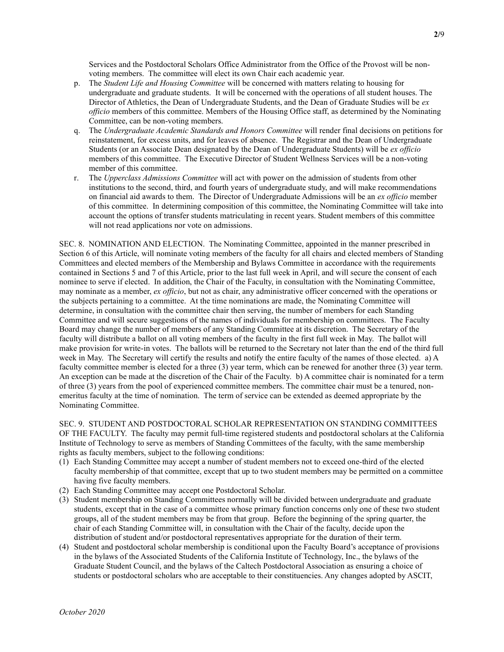Services and the Postdoctoral Scholars Office Administrator from the Office of the Provost will be nonvoting members. The committee will elect its own Chair each academic year.

- p. The Student Life and Housing Committee will be concerned with matters relating to housing for undergraduate and graduate students. It will be concerned with the operations of all student houses. The Director of Athletics, the Dean of Undergraduate Students, and the Dean of Graduate Studies will be  $ex$ officio members of this committee. Members of the Housing Office staff, as determined by the Nominating Committee, can be non-voting members.
- q. The Undergraduate Academic Standards and Honors Committee will render final decisions on petitions for reinstatement, for excess units, and for leaves of absence. The Registrar and the Dean of Undergraduate Students (or an Associate Dean designated by the Dean of Undergraduate Students) will be ex officio members of this committee. The Executive Director of Student Wellness Services will be a non-voting member of this committee.
- r. The Upperclass Admissions Committee will act with power on the admission of students from other institutions to the second, third, and fourth years of undergraduate study, and will make recommendations on financial aid awards to them. The Director of Undergraduate Admissions will be an ex officio member of this committee. In determining composition of this committee, the Nominating Committee will take into account the options of transfer students matriculating in recent years. Student members of this committee will not read applications nor vote on admissions.

SEC. 8. NOMINATION AND ELECTION. The Nominating Committee, appointed in the manner prescribed in Section 6 of this Article, will nominate voting members of the faculty for all chairs and elected members of Standing Committees and elected members of the Membership and Bylaws Committee in accordance with the requirements contained in Sections 5 and 7 of this Article, prior to the last full week in April, and will secure the consent of each nominee to serve if elected. In addition, the Chair of the Faculty, in consultation with the Nominating Committee, may nominate as a member, ex officio, but not as chair, any administrative officer concerned with the operations or the subjects pertaining to a committee. At the time nominations are made, the Nominating Committee will determine, in consultation with the committee chair then serving, the number of members for each Standing Committee and will secure suggestions of the names of individuals for membership on committees. The Faculty Board may change the number of members of any Standing Committee at its discretion. The Secretary of the faculty will distribute a ballot on all voting members of the faculty in the first full week in May. The ballot will make provision for write-in votes. The ballots will be returned to the Secretary not later than the end of the third full week in May. The Secretary will certify the results and notify the entire faculty of the names of those elected. a) A faculty committee member is elected for a three (3) year term, which can be renewed for another three (3) year term. An exception can be made at the discretion of the Chair of the Faculty. b) A committee chair is nominated for a term of three (3) years from the pool of experienced committee members. The committee chair must be a tenured, nonemeritus faculty at the time of nomination. The term of service can be extended as deemed appropriate by the Nominating Committee.

SEC. 9. STUDENT AND POSTDOCTORAL SCHOLAR REPRESENTATION ON STANDING COMMITTEES OF THE FACULTY. The faculty may permit full-time registered students and postdoctoral scholars at the California Institute of Technology to serve as members of Standing Committees of the faculty, with the same membership rights as faculty members, subject to the following conditions:

- (1) Each Standing Committee may accept a number of student members not to exceed one-third of the elected faculty membership of that committee, except that up to two student members may be permitted on a committee having five faculty members.
- (2) Each Standing Committee may accept one Postdoctoral Scholar.
- (3) Student membership on Standing Committees normally will be divided between undergraduate and graduate students, except that in the case of a committee whose primary function concerns only one of these two student groups, all of the student members may be from that group. Before the beginning of the spring quarter, the chair of each Standing Committee will, in consultation with the Chair of the faculty, decide upon the distribution of student and/or postdoctoral representatives appropriate for the duration of their term.
- (4) Student and postdoctoral scholar membership is conditional upon the Faculty Board's acceptance of provisions in the bylaws of the Associated Students of the California Institute of Technology, Inc., the bylaws of the Graduate Student Council, and the bylaws of the Caltech Postdoctoral Association as ensuring a choice of students or postdoctoral scholars who are acceptable to their constituencies. Any changes adopted by ASCIT,